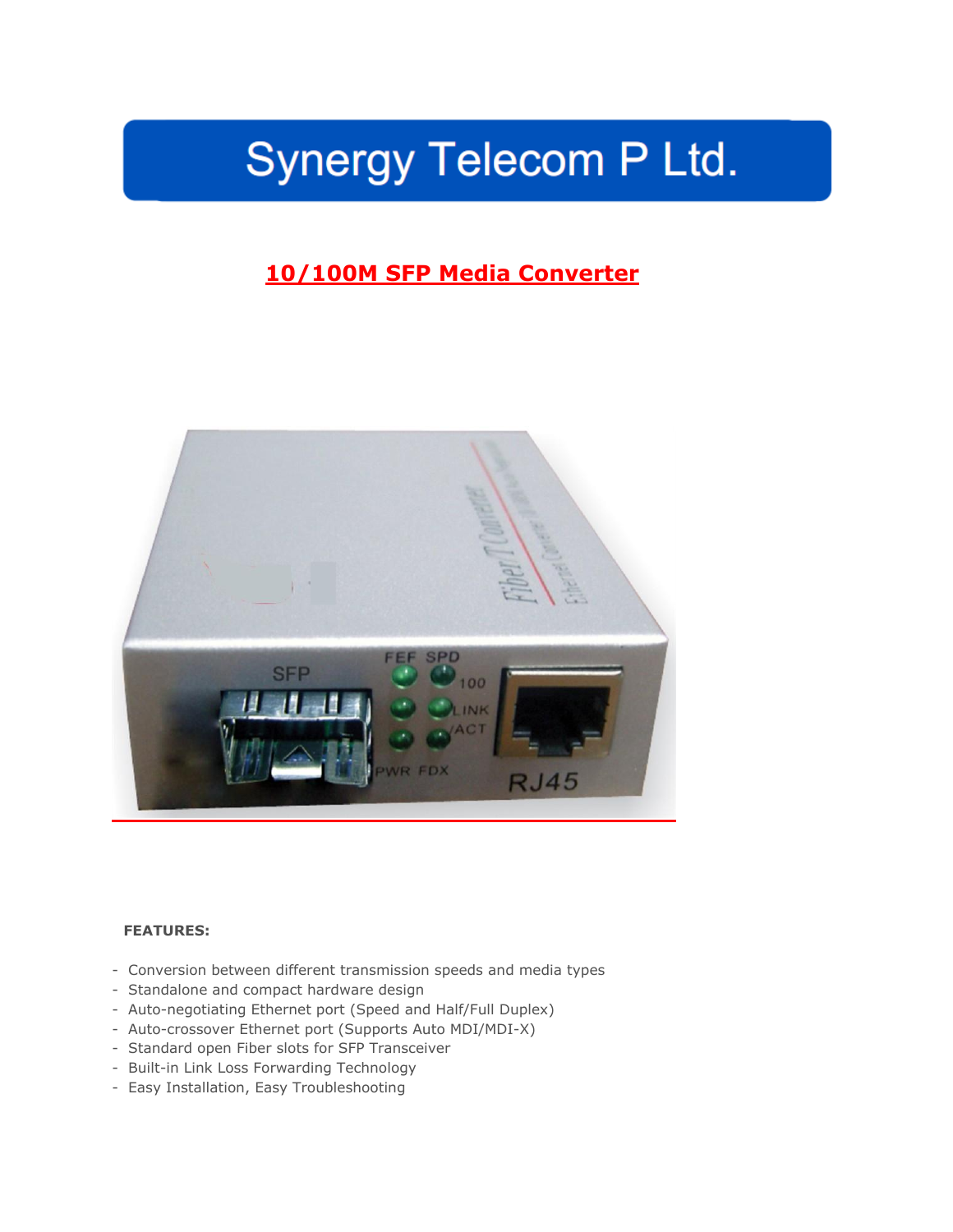# Synergy Telecom P Ltd.

## **10/100M SFP Media Converter**



### **FEATURES:**

- Conversion between different transmission speeds and media types
- Standalone and compact hardware design
- Auto-negotiating Ethernet port (Speed and Half/Full Duplex)
- Auto-crossover Ethernet port (Supports Auto MDI/MDI-X)
- Standard open Fiber slots for SFP Transceiver
- Built-in Link Loss Forwarding Technology
- Easy Installation, Easy Troubleshooting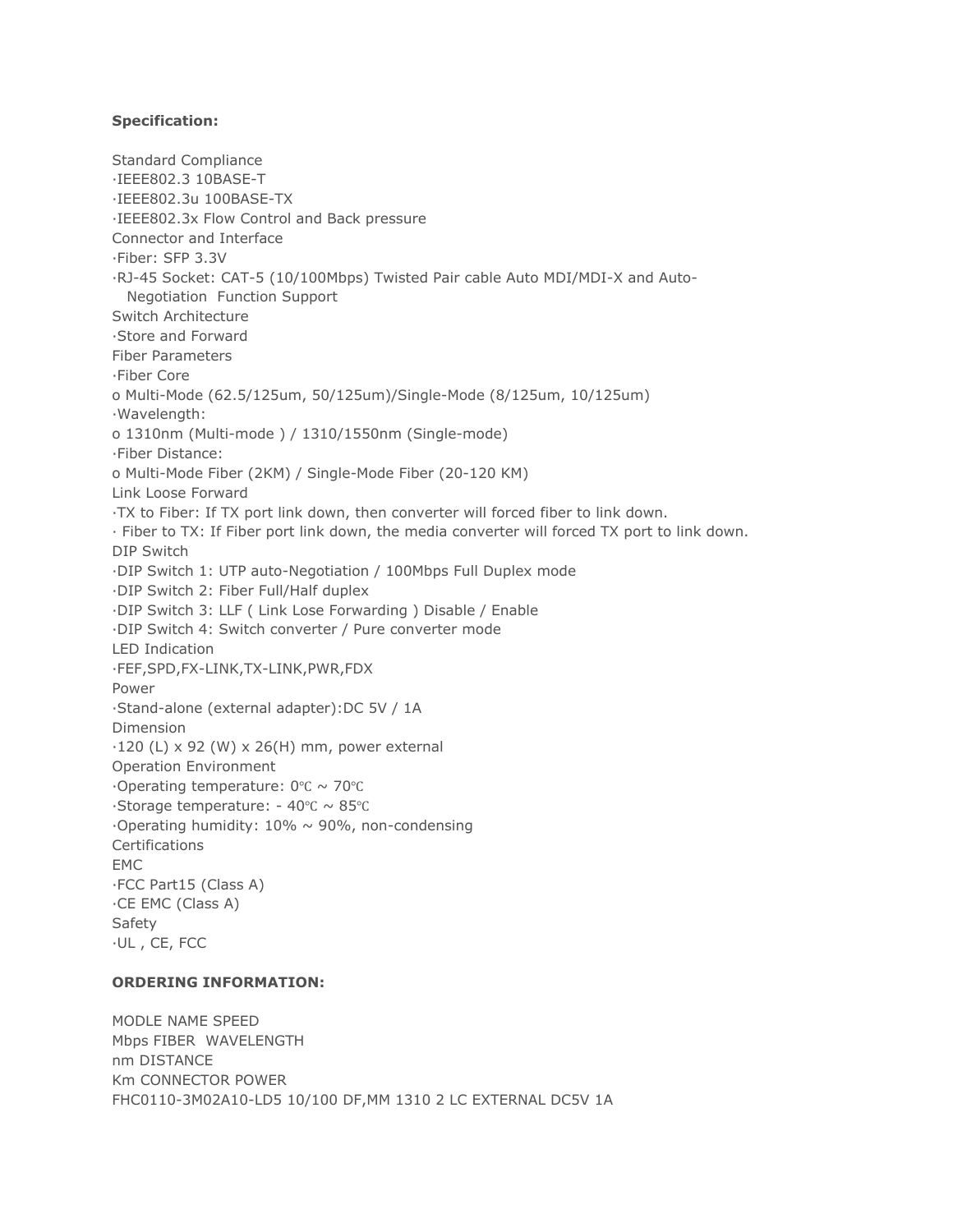#### **Specification:**

Standard Compliance ·IEEE802.3 10BASE-T ·IEEE802.3u 100BASE-TX ·IEEE802.3x Flow Control and Back pressure Connector and Interface ·Fiber: SFP 3.3V ·RJ-45 Socket: CAT-5 (10/100Mbps) Twisted Pair cable Auto MDI/MDI-X and Auto- Negotiation Function Support Switch Architecture ·Store and Forward Fiber Parameters ·Fiber Core o Multi-Mode (62.5/125um, 50/125um)/Single-Mode (8/125um, 10/125um) ·Wavelength: o 1310nm (Multi-mode ) / 1310/1550nm (Single-mode) ·Fiber Distance: o Multi-Mode Fiber (2KM) / Single-Mode Fiber (20-120 KM) Link Loose Forward ·TX to Fiber: If TX port link down, then converter will forced fiber to link down. · Fiber to TX: If Fiber port link down, the media converter will forced TX port to link down. DIP Switch ·DIP Switch 1: UTP auto-Negotiation / 100Mbps Full Duplex mode ·DIP Switch 2: Fiber Full/Half duplex ·DIP Switch 3: LLF ( Link Lose Forwarding ) Disable / Enable ·DIP Switch 4: Switch converter / Pure converter mode LED Indication ·FEF,SPD,FX-LINK,TX-LINK,PWR,FDX Power ·Stand-alone (external adapter):DC 5V / 1A Dimension  $\cdot$ 120 (L) x 92 (W) x 26(H) mm, power external Operation Environment ·Operating temperature: 0℃ ~ 70℃ ·Storage temperature: - 40℃ ~ 85℃  $\cdot$ Operating humidity: 10%  $\sim$  90%, non-condensing **Certifications** EMC ·FCC Part15 (Class A) ·CE EMC (Class A) Safety ·UL , CE, FCC

### **ORDERING INFORMATION:**

MODLE NAME SPEED Mbps FIBER WAVELENGTH nm DISTANCE Km CONNECTOR POWER FHC0110-3M02A10-LD5 10/100 DF,MM 1310 2 LC EXTERNAL DC5V 1A